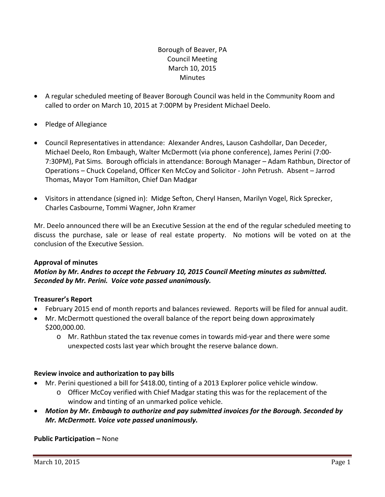# Borough of Beaver, PA Council Meeting March 10, 2015 **Minutes**

- A regular scheduled meeting of Beaver Borough Council was held in the Community Room and called to order on March 10, 2015 at 7:00PM by President Michael Deelo.
- Pledge of Allegiance
- Council Representatives in attendance: Alexander Andres, Lauson Cashdollar, Dan Deceder, Michael Deelo, Ron Embaugh, Walter McDermott (via phone conference), James Perini (7:00‐ 7:30PM), Pat Sims. Borough officials in attendance: Borough Manager – Adam Rathbun, Director of Operations – Chuck Copeland, Officer Ken McCoy and Solicitor ‐ John Petrush. Absent – Jarrod Thomas, Mayor Tom Hamilton, Chief Dan Madgar
- Visitors in attendance (signed in): Midge Sefton, Cheryl Hansen, Marilyn Vogel, Rick Sprecker, Charles Casbourne, Tommi Wagner, John Kramer

Mr. Deelo announced there will be an Executive Session at the end of the regular scheduled meeting to discuss the purchase, sale or lease of real estate property. No motions will be voted on at the conclusion of the Executive Session.

#### **Approval of minutes**

# *Motion by Mr. Andres to accept the February 10, 2015 Council Meeting minutes as submitted. Seconded by Mr. Perini. Voice vote passed unanimously.*

## **Treasurer's Report**

- February 2015 end of month reports and balances reviewed. Reports will be filed for annual audit.
- Mr. McDermott questioned the overall balance of the report being down approximately \$200,000.00.
	- o Mr. Rathbun stated the tax revenue comes in towards mid‐year and there were some unexpected costs last year which brought the reserve balance down.

#### **Review invoice and authorization to pay bills**

- Mr. Perini questioned a bill for \$418.00, tinting of a 2013 Explorer police vehicle window.
	- o Officer McCoy verified with Chief Madgar stating this was for the replacement of the window and tinting of an unmarked police vehicle.
- *Motion by Mr. Embaugh to authorize and pay submitted invoices for the Borough. Seconded by Mr. McDermott. Voice vote passed unanimously.*

## **Public Participation –** None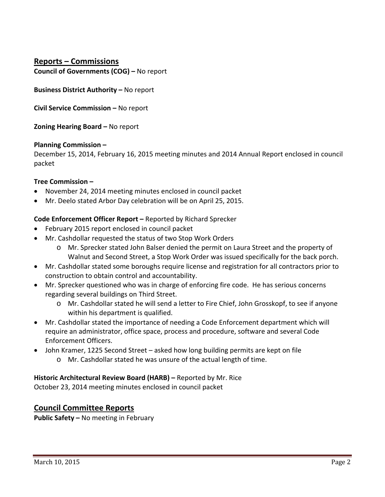**Reports – Commissions Council of Governments (COG) –** No report

**Business District Authority –** No report

**Civil Service Commission –** No report

**Zoning Hearing Board –** No report

#### **Planning Commission –**

December 15, 2014, February 16, 2015 meeting minutes and 2014 Annual Report enclosed in council packet

### **Tree Commission –**

- November 24, 2014 meeting minutes enclosed in council packet
- Mr. Deelo stated Arbor Day celebration will be on April 25, 2015.

### **Code Enforcement Officer Report –** Reported by Richard Sprecker

- February 2015 report enclosed in council packet
- Mr. Cashdollar requested the status of two Stop Work Orders
	- o Mr. Sprecker stated John Balser denied the permit on Laura Street and the property of Walnut and Second Street, a Stop Work Order was issued specifically for the back porch.
- Mr. Cashdollar stated some boroughs require license and registration for all contractors prior to construction to obtain control and accountability.
- Mr. Sprecker questioned who was in charge of enforcing fire code. He has serious concerns regarding several buildings on Third Street.
	- o Mr. Cashdollar stated he will send a letter to Fire Chief, John Grosskopf, to see if anyone within his department is qualified.
- Mr. Cashdollar stated the importance of needing a Code Enforcement department which will require an administrator, office space, process and procedure, software and several Code Enforcement Officers.
- John Kramer, 1225 Second Street asked how long building permits are kept on file
	- o Mr. Cashdollar stated he was unsure of the actual length of time.

## **Historic Architectural Review Board (HARB) –** Reported by Mr. Rice

October 23, 2014 meeting minutes enclosed in council packet

## **Council Committee Reports**

**Public Safety –** No meeting in February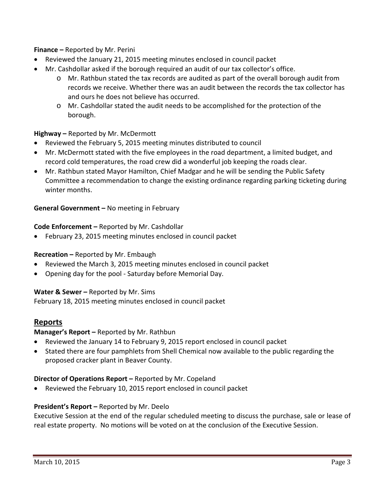**Finance –** Reported by Mr. Perini

- Reviewed the January 21, 2015 meeting minutes enclosed in council packet
- Mr. Cashdollar asked if the borough required an audit of our tax collector's office.
	- o Mr. Rathbun stated the tax records are audited as part of the overall borough audit from records we receive. Whether there was an audit between the records the tax collector has and ours he does not believe has occurred.
	- o Mr. Cashdollar stated the audit needs to be accomplished for the protection of the borough.

### **Highway –** Reported by Mr. McDermott

- Reviewed the February 5, 2015 meeting minutes distributed to council
- Mr. McDermott stated with the five employees in the road department, a limited budget, and record cold temperatures, the road crew did a wonderful job keeping the roads clear.
- Mr. Rathbun stated Mayor Hamilton, Chief Madgar and he will be sending the Public Safety Committee a recommendation to change the existing ordinance regarding parking ticketing during winter months.

### **General Government –** No meeting in February

### **Code Enforcement –** Reported by Mr. Cashdollar

February 23, 2015 meeting minutes enclosed in council packet

#### **Recreation –** Reported by Mr. Embaugh

- Reviewed the March 3, 2015 meeting minutes enclosed in council packet
- Opening day for the pool Saturday before Memorial Day.

#### **Water & Sewer –** Reported by Mr. Sims

February 18, 2015 meeting minutes enclosed in council packet

## **Reports**

## **Manager's Report –** Reported by Mr. Rathbun

- Reviewed the January 14 to February 9, 2015 report enclosed in council packet
- Stated there are four pamphlets from Shell Chemical now available to the public regarding the proposed cracker plant in Beaver County.

#### **Director of Operations Report –** Reported by Mr. Copeland

Reviewed the February 10, 2015 report enclosed in council packet

#### **President's Report –** Reported by Mr. Deelo

Executive Session at the end of the regular scheduled meeting to discuss the purchase, sale or lease of real estate property. No motions will be voted on at the conclusion of the Executive Session.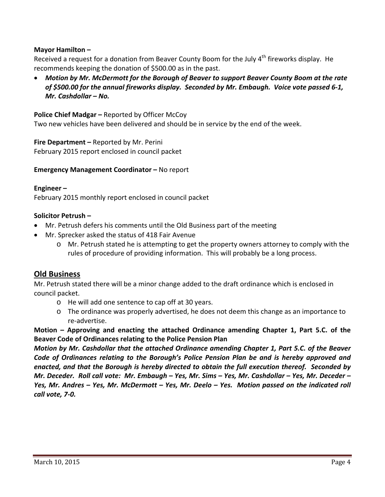### **Mayor Hamilton –**

Received a request for a donation from Beaver County Boom for the July  $4<sup>th</sup>$  fireworks display. He recommends keeping the donation of \$500.00 as in the past.

 *Motion by Mr. McDermott for the Borough of Beaver to support Beaver County Boom at the rate* of \$500.00 for the annual fireworks display. Seconded by Mr. Embaugh. Voice vote passed 6-1, *Mr. Cashdollar – No.*

**Police Chief Madgar –** Reported by Officer McCoy Two new vehicles have been delivered and should be in service by the end of the week.

**Fire Department –** Reported by Mr. Perini February 2015 report enclosed in council packet

**Emergency Management Coordinator –** No report

#### **Engineer –**

February 2015 monthly report enclosed in council packet

#### **Solicitor Petrush –**

- Mr. Petrush defers his comments until the Old Business part of the meeting
- Mr. Sprecker asked the status of 418 Fair Avenue
	- o Mr. Petrush stated he is attempting to get the property owners attorney to comply with the rules of procedure of providing information. This will probably be a long process.

#### **Old Business**

Mr. Petrush stated there will be a minor change added to the draft ordinance which is enclosed in council packet.

- o He will add one sentence to cap off at 30 years.
- o The ordinance was properly advertised, he does not deem this change as an importance to re‐advertise.

**Motion – Approving and enacting the attached Ordinance amending Chapter 1, Part 5.C. of the Beaver Code of Ordinances relating to the Police Pension Plan**

*Motion by Mr. Cashdollar that the attached Ordinance amending Chapter 1, Part 5.C. of the Beaver Code of Ordinances relating to the Borough's Police Pension Plan be and is hereby approved and enacted, and that the Borough is hereby directed to obtain the full execution thereof. Seconded by* Mr. Deceder. Roll call vote: Mr. Embaugh - Yes, Mr. Sims - Yes, Mr. Cashdollar - Yes, Mr. Deceder -Yes, Mr. Andres - Yes, Mr. McDermott - Yes, Mr. Deelo - Yes. Motion passed on the indicated roll *call vote, 7‐0.*